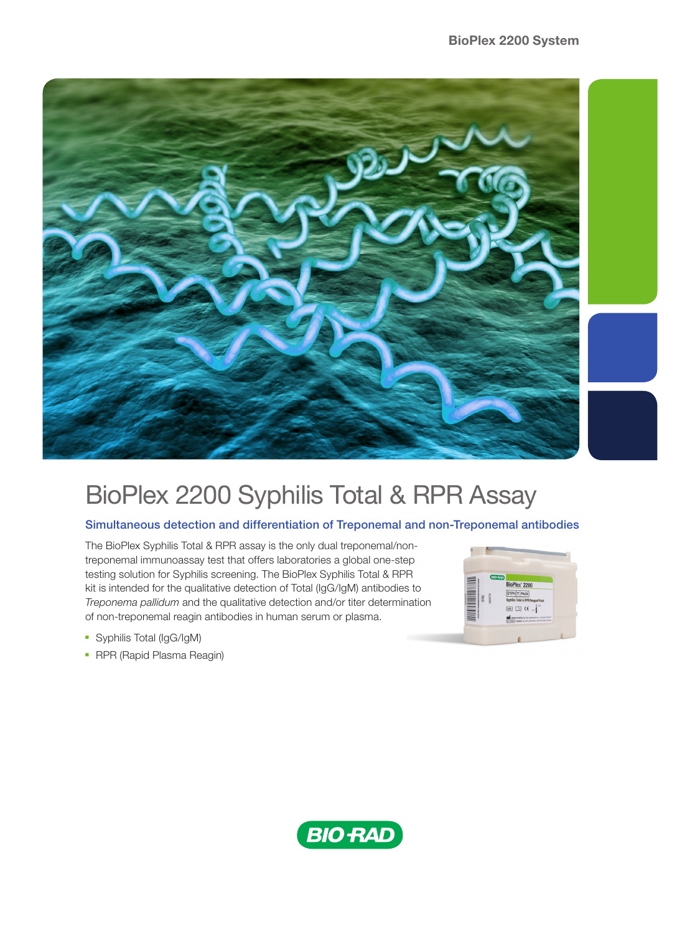

# BioPlex 2200 Syphilis Total & RPR Assay

### Simultaneous detection and differentiation of Treponemal and non-Treponemal antibodies

The BioPlex Syphilis Total & RPR assay is the only dual treponemal/nontreponemal immunoassay test that offers laboratories a global one-step testing solution for Syphilis screening. The BioPlex Syphilis Total & RPR kit is intended for the qualitative detection of Total (IgG/IgM) antibodies to *Treponema pallidum* and the qualitative detection and/or titer determination of non-treponemal reagin antibodies in human serum or plasma.



- Syphilis Total (IgG/IgM)
- RPR (Rapid Plasma Reagin)